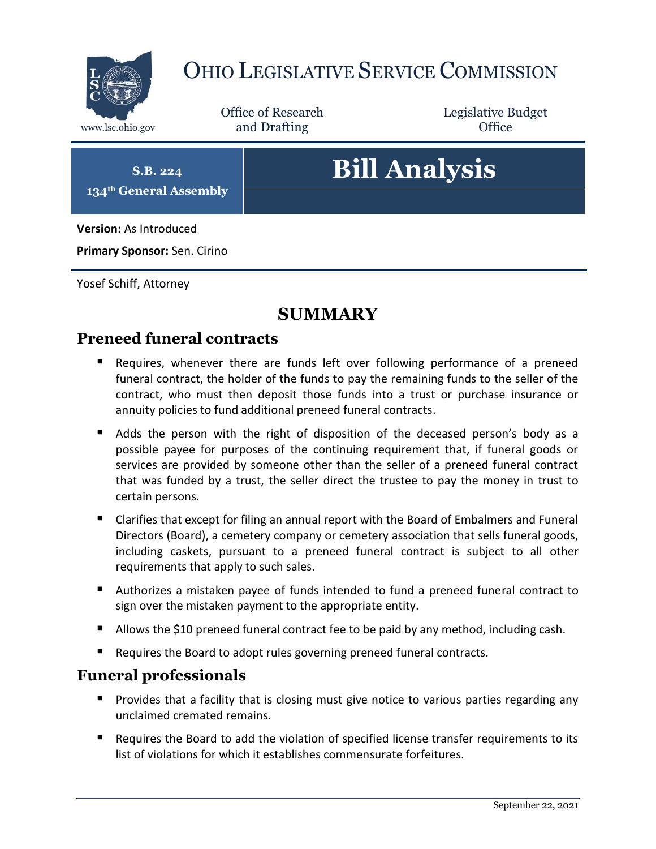

## OHIO LEGISLATIVE SERVICE COMMISSION

Office of Research www.lsc.ohio.gov **and Drafting Office** 

Legislative Budget

**S.B. 224 134th General Assembly**

# **Bill Analysis**

**Version:** As Introduced

**Primary Sponsor:** Sen. Cirino

Yosef Schiff, Attorney

### **SUMMARY**

#### **Preneed funeral contracts**

- Requires, whenever there are funds left over following performance of a preneed funeral contract, the holder of the funds to pay the remaining funds to the seller of the contract, who must then deposit those funds into a trust or purchase insurance or annuity policies to fund additional preneed funeral contracts.
- Adds the person with the right of disposition of the deceased person's body as a possible payee for purposes of the continuing requirement that, if funeral goods or services are provided by someone other than the seller of a preneed funeral contract that was funded by a trust, the seller direct the trustee to pay the money in trust to certain persons.
- Clarifies that except for filing an annual report with the Board of Embalmers and Funeral Directors (Board), a cemetery company or cemetery association that sells funeral goods, including caskets, pursuant to a preneed funeral contract is subject to all other requirements that apply to such sales.
- Authorizes a mistaken payee of funds intended to fund a preneed funeral contract to sign over the mistaken payment to the appropriate entity.
- Allows the \$10 preneed funeral contract fee to be paid by any method, including cash.
- Requires the Board to adopt rules governing preneed funeral contracts.

#### **Funeral professionals**

- **Provides that a facility that is closing must give notice to various parties regarding any** unclaimed cremated remains.
- Requires the Board to add the violation of specified license transfer requirements to its list of violations for which it establishes commensurate forfeitures.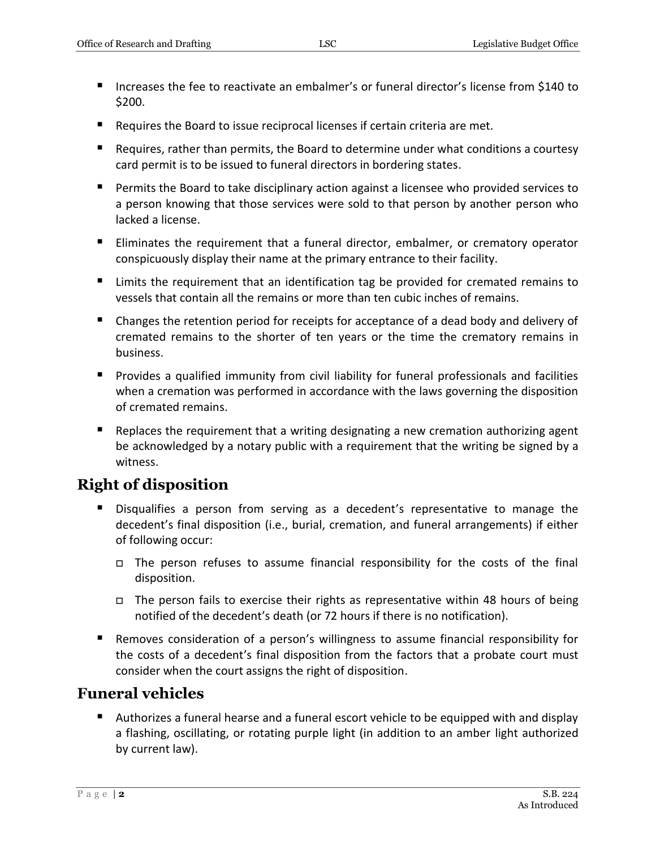- Increases the fee to reactivate an embalmer's or funeral director's license from \$140 to \$200.
- Requires the Board to issue reciprocal licenses if certain criteria are met.
- Requires, rather than permits, the Board to determine under what conditions a courtesy card permit is to be issued to funeral directors in bordering states.
- **Permits the Board to take disciplinary action against a licensee who provided services to** a person knowing that those services were sold to that person by another person who lacked a license.
- Eliminates the requirement that a funeral director, embalmer, or crematory operator conspicuously display their name at the primary entrance to their facility.
- **E** Limits the requirement that an identification tag be provided for cremated remains to vessels that contain all the remains or more than ten cubic inches of remains.
- **EX** Changes the retention period for receipts for acceptance of a dead body and delivery of cremated remains to the shorter of ten years or the time the crematory remains in business.
- Provides a qualified immunity from civil liability for funeral professionals and facilities when a cremation was performed in accordance with the laws governing the disposition of cremated remains.
- **E** Replaces the requirement that a writing designating a new cremation authorizing agent be acknowledged by a notary public with a requirement that the writing be signed by a witness.

#### **Right of disposition**

- Disqualifies a person from serving as a decedent's representative to manage the decedent's final disposition (i.e., burial, cremation, and funeral arrangements) if either of following occur:
	- The person refuses to assume financial responsibility for the costs of the final disposition.
	- $\Box$  The person fails to exercise their rights as representative within 48 hours of being notified of the decedent's death (or 72 hours if there is no notification).
- Removes consideration of a person's willingness to assume financial responsibility for the costs of a decedent's final disposition from the factors that a probate court must consider when the court assigns the right of disposition.

#### **Funeral vehicles**

 Authorizes a funeral hearse and a funeral escort vehicle to be equipped with and display a flashing, oscillating, or rotating purple light (in addition to an amber light authorized by current law).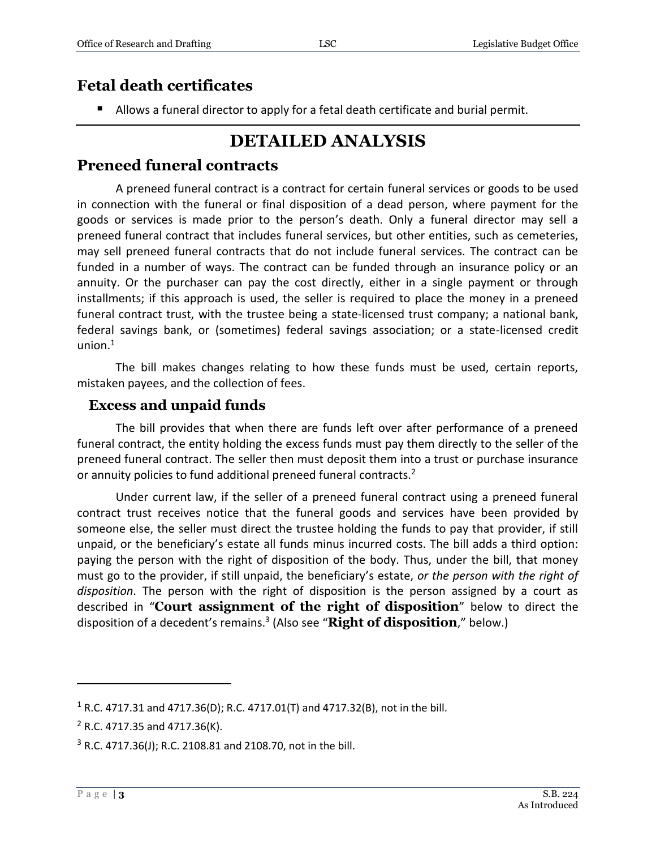#### **Fetal death certificates**

Allows a funeral director to apply for a fetal death certificate and burial permit.

## **DETAILED ANALYSIS**

#### **Preneed funeral contracts**

A preneed funeral contract is a contract for certain funeral services or goods to be used in connection with the funeral or final disposition of a dead person, where payment for the goods or services is made prior to the person's death. Only a funeral director may sell a preneed funeral contract that includes funeral services, but other entities, such as cemeteries, may sell preneed funeral contracts that do not include funeral services. The contract can be funded in a number of ways. The contract can be funded through an insurance policy or an annuity. Or the purchaser can pay the cost directly, either in a single payment or through installments; if this approach is used, the seller is required to place the money in a preneed funeral contract trust, with the trustee being a state-licensed trust company; a national bank, federal savings bank, or (sometimes) federal savings association; or a state-licensed credit union. 1

The bill makes changes relating to how these funds must be used, certain reports, mistaken payees, and the collection of fees.

#### **Excess and unpaid funds**

The bill provides that when there are funds left over after performance of a preneed funeral contract, the entity holding the excess funds must pay them directly to the seller of the preneed funeral contract. The seller then must deposit them into a trust or purchase insurance or annuity policies to fund additional preneed funeral contracts.<sup>2</sup>

Under current law, if the seller of a preneed funeral contract using a preneed funeral contract trust receives notice that the funeral goods and services have been provided by someone else, the seller must direct the trustee holding the funds to pay that provider, if still unpaid, or the beneficiary's estate all funds minus incurred costs. The bill adds a third option: paying the person with the right of disposition of the body. Thus, under the bill, that money must go to the provider, if still unpaid, the beneficiary's estate, *or the person with the right of disposition*. The person with the right of disposition is the person assigned by a court as described in "**Court assignment of the right of disposition**" below to direct the disposition of a decedent's remains.<sup>3</sup> (Also see "**Right of disposition**," below.)

<sup>&</sup>lt;sup>1</sup> R.C. 4717.31 and 4717.36(D); R.C. 4717.01(T) and 4717.32(B), not in the bill.

 $2$  R.C. 4717.35 and 4717.36(K).

<sup>3</sup> R.C. 4717.36(J); R.C. 2108.81 and 2108.70, not in the bill.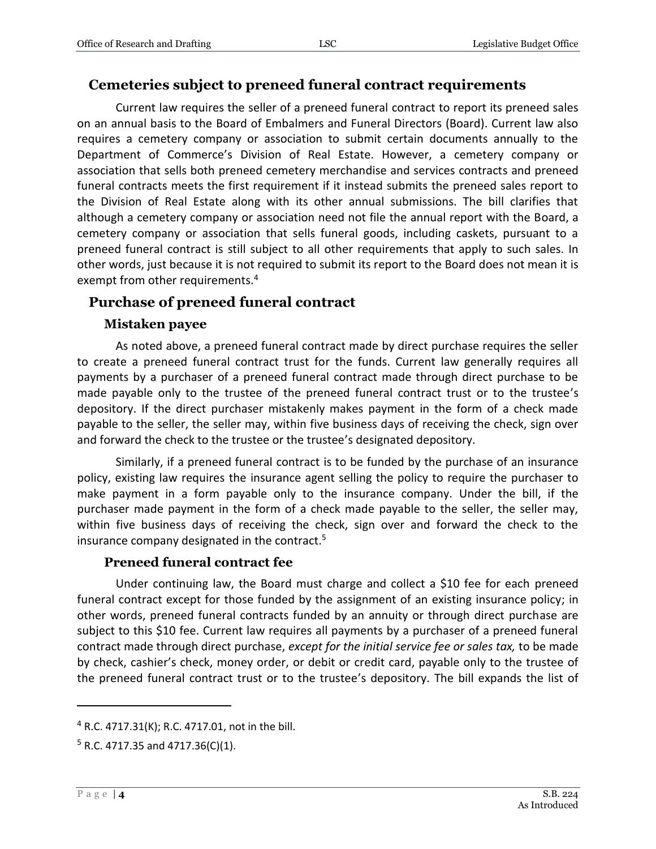#### **Cemeteries subject to preneed funeral contract requirements**

Current law requires the seller of a preneed funeral contract to report its preneed sales on an annual basis to the Board of Embalmers and Funeral Directors (Board). Current law also requires a cemetery company or association to submit certain documents annually to the Department of Commerce's Division of Real Estate. However, a cemetery company or association that sells both preneed cemetery merchandise and services contracts and preneed funeral contracts meets the first requirement if it instead submits the preneed sales report to the Division of Real Estate along with its other annual submissions. The bill clarifies that although a cemetery company or association need not file the annual report with the Board, a cemetery company or association that sells funeral goods, including caskets, pursuant to a preneed funeral contract is still subject to all other requirements that apply to such sales. In other words, just because it is not required to submit its report to the Board does not mean it is exempt from other requirements.<sup>4</sup>

#### **Purchase of preneed funeral contract**

#### **Mistaken payee**

As noted above, a preneed funeral contract made by direct purchase requires the seller to create a preneed funeral contract trust for the funds. Current law generally requires all payments by a purchaser of a preneed funeral contract made through direct purchase to be made payable only to the trustee of the preneed funeral contract trust or to the trustee's depository. If the direct purchaser mistakenly makes payment in the form of a check made payable to the seller, the seller may, within five business days of receiving the check, sign over and forward the check to the trustee or the trustee's designated depository.

Similarly, if a preneed funeral contract is to be funded by the purchase of an insurance policy, existing law requires the insurance agent selling the policy to require the purchaser to make payment in a form payable only to the insurance company. Under the bill, if the purchaser made payment in the form of a check made payable to the seller, the seller may, within five business days of receiving the check, sign over and forward the check to the insurance company designated in the contract.<sup>5</sup>

#### **Preneed funeral contract fee**

Under continuing law, the Board must charge and collect a \$10 fee for each preneed funeral contract except for those funded by the assignment of an existing insurance policy; in other words, preneed funeral contracts funded by an annuity or through direct purchase are subject to this \$10 fee. Current law requires all payments by a purchaser of a preneed funeral contract made through direct purchase, *except for the initial service fee or sales tax,* to be made by check, cashier's check, money order, or debit or credit card, payable only to the trustee of the preneed funeral contract trust or to the trustee's depository. The bill expands the list of

<sup>4</sup> R.C. 4717.31(K); R.C. 4717.01, not in the bill.

 $5$  R.C. 4717.35 and 4717.36(C)(1).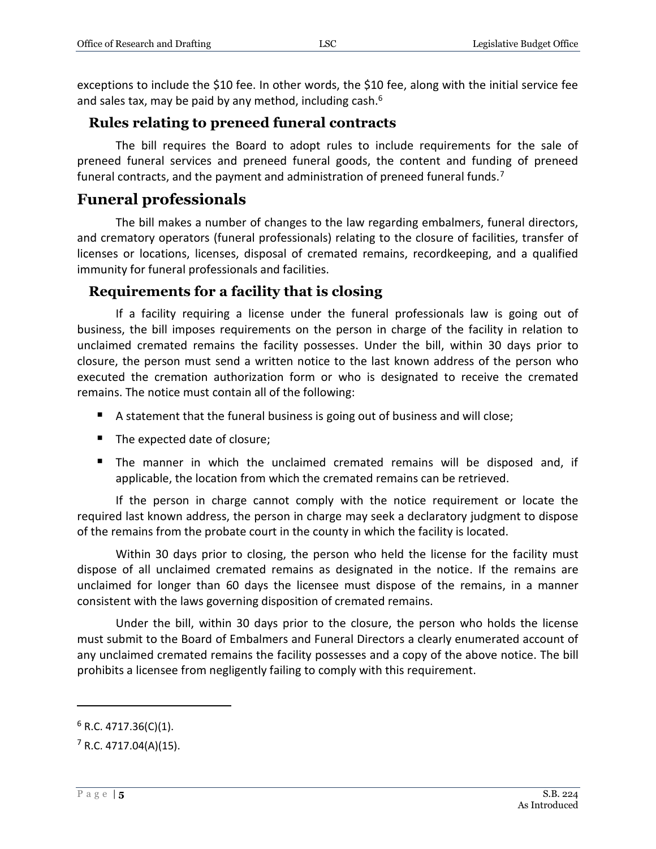exceptions to include the \$10 fee. In other words, the \$10 fee, along with the initial service fee and sales tax, may be paid by any method, including cash.<sup>6</sup>

#### **Rules relating to preneed funeral contracts**

The bill requires the Board to adopt rules to include requirements for the sale of preneed funeral services and preneed funeral goods, the content and funding of preneed funeral contracts, and the payment and administration of preneed funeral funds.<sup>7</sup>

#### **Funeral professionals**

The bill makes a number of changes to the law regarding embalmers, funeral directors, and crematory operators (funeral professionals) relating to the closure of facilities, transfer of licenses or locations, licenses, disposal of cremated remains, recordkeeping, and a qualified immunity for funeral professionals and facilities.

#### **Requirements for a facility that is closing**

If a facility requiring a license under the funeral professionals law is going out of business, the bill imposes requirements on the person in charge of the facility in relation to unclaimed cremated remains the facility possesses. Under the bill, within 30 days prior to closure, the person must send a written notice to the last known address of the person who executed the cremation authorization form or who is designated to receive the cremated remains. The notice must contain all of the following:

- A statement that the funeral business is going out of business and will close;
- The expected date of closure;
- The manner in which the unclaimed cremated remains will be disposed and, if applicable, the location from which the cremated remains can be retrieved.

If the person in charge cannot comply with the notice requirement or locate the required last known address, the person in charge may seek a declaratory judgment to dispose of the remains from the probate court in the county in which the facility is located.

Within 30 days prior to closing, the person who held the license for the facility must dispose of all unclaimed cremated remains as designated in the notice. If the remains are unclaimed for longer than 60 days the licensee must dispose of the remains, in a manner consistent with the laws governing disposition of cremated remains.

Under the bill, within 30 days prior to the closure, the person who holds the license must submit to the Board of Embalmers and Funeral Directors a clearly enumerated account of any unclaimed cremated remains the facility possesses and a copy of the above notice. The bill prohibits a licensee from negligently failing to comply with this requirement.

 $6$  R.C. 4717.36(C)(1).

 $7$  R.C. 4717.04(A)(15).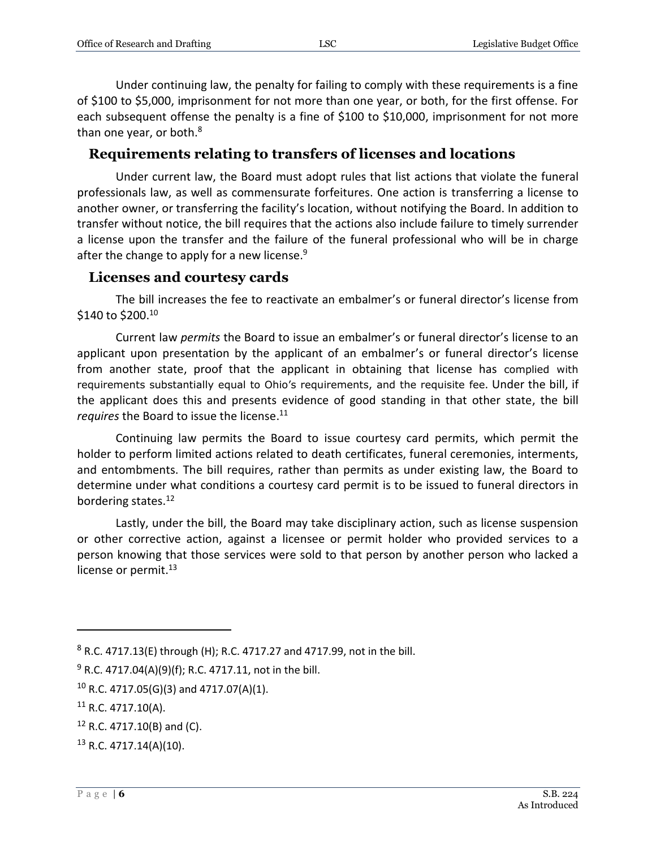Under continuing law, the penalty for failing to comply with these requirements is a fine of \$100 to \$5,000, imprisonment for not more than one year, or both, for the first offense. For each subsequent offense the penalty is a fine of \$100 to \$10,000, imprisonment for not more than one year, or both.<sup>8</sup>

#### **Requirements relating to transfers of licenses and locations**

Under current law, the Board must adopt rules that list actions that violate the funeral professionals law, as well as commensurate forfeitures. One action is transferring a license to another owner, or transferring the facility's location, without notifying the Board. In addition to transfer without notice, the bill requires that the actions also include failure to timely surrender a license upon the transfer and the failure of the funeral professional who will be in charge after the change to apply for a new license.<sup>9</sup>

#### **Licenses and courtesy cards**

The bill increases the fee to reactivate an embalmer's or funeral director's license from  $$140$  to  $$200.<sup>10</sup>$ 

Current law *permits* the Board to issue an embalmer's or funeral director's license to an applicant upon presentation by the applicant of an embalmer's or funeral director's license from another state, proof that the applicant in obtaining that license has complied with requirements substantially equal to Ohio's requirements, and the requisite fee. Under the bill, if the applicant does this and presents evidence of good standing in that other state, the bill *requires* the Board to issue the license. 11

Continuing law permits the Board to issue courtesy card permits, which permit the holder to perform limited actions related to death certificates, funeral ceremonies, interments, and entombments. The bill requires, rather than permits as under existing law, the Board to determine under what conditions a courtesy card permit is to be issued to funeral directors in bordering states.<sup>12</sup>

Lastly, under the bill, the Board may take disciplinary action, such as license suspension or other corrective action, against a licensee or permit holder who provided services to a person knowing that those services were sold to that person by another person who lacked a license or permit. $^{13}$ 

 $8$  R.C. 4717.13(E) through (H); R.C. 4717.27 and 4717.99, not in the bill.

 $9$  R.C. 4717.04(A)(9)(f); R.C. 4717.11, not in the bill.

 $10$  R.C. 4717.05(G)(3) and 4717.07(A)(1).

 $11$  R.C. 4717.10(A).

<sup>12</sup> R.C. 4717.10(B) and (C).

<sup>13</sup> R.C. 4717.14(A)(10).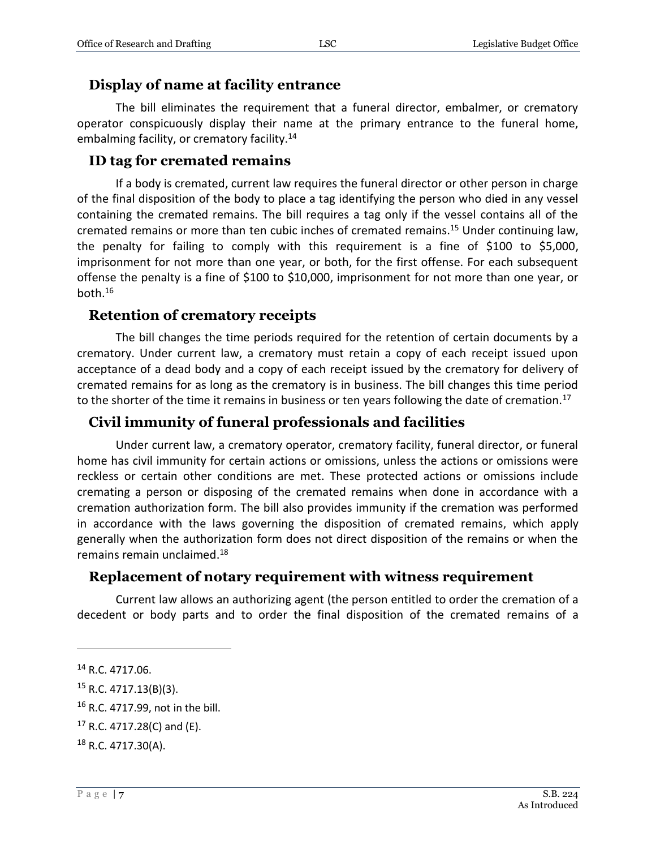#### **Display of name at facility entrance**

The bill eliminates the requirement that a funeral director, embalmer, or crematory operator conspicuously display their name at the primary entrance to the funeral home, embalming facility, or crematory facility.<sup>14</sup>

#### **ID tag for cremated remains**

If a body is cremated, current law requires the funeral director or other person in charge of the final disposition of the body to place a tag identifying the person who died in any vessel containing the cremated remains. The bill requires a tag only if the vessel contains all of the cremated remains or more than ten cubic inches of cremated remains.<sup>15</sup> Under continuing law, the penalty for failing to comply with this requirement is a fine of \$100 to \$5,000, imprisonment for not more than one year, or both, for the first offense. For each subsequent offense the penalty is a fine of \$100 to \$10,000, imprisonment for not more than one year, or both. $16$ 

#### **Retention of crematory receipts**

The bill changes the time periods required for the retention of certain documents by a crematory. Under current law, a crematory must retain a copy of each receipt issued upon acceptance of a dead body and a copy of each receipt issued by the crematory for delivery of cremated remains for as long as the crematory is in business. The bill changes this time period to the shorter of the time it remains in business or ten years following the date of cremation.<sup>17</sup>

#### **Civil immunity of funeral professionals and facilities**

Under current law, a crematory operator, crematory facility, funeral director, or funeral home has civil immunity for certain actions or omissions, unless the actions or omissions were reckless or certain other conditions are met. These protected actions or omissions include cremating a person or disposing of the cremated remains when done in accordance with a cremation authorization form. The bill also provides immunity if the cremation was performed in accordance with the laws governing the disposition of cremated remains, which apply generally when the authorization form does not direct disposition of the remains or when the remains remain unclaimed.<sup>18</sup>

#### **Replacement of notary requirement with witness requirement**

Current law allows an authorizing agent (the person entitled to order the cremation of a decedent or body parts and to order the final disposition of the cremated remains of a

<sup>14</sup> R.C. 4717.06.

<sup>15</sup> R.C. 4717.13(B)(3).

<sup>16</sup> R.C. 4717.99, not in the bill.

 $17$  R.C. 4717.28(C) and (E).

<sup>18</sup> R.C. 4717.30(A).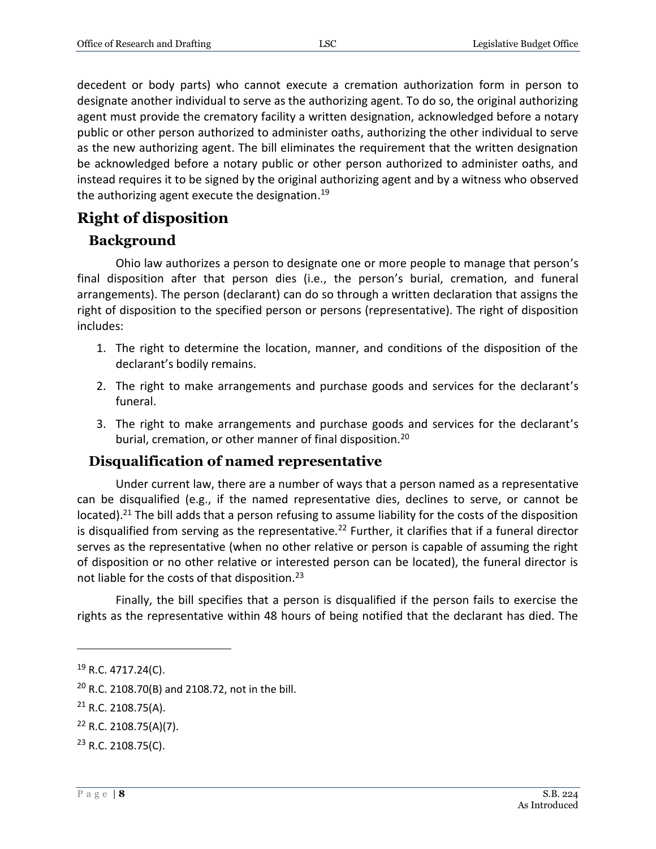decedent or body parts) who cannot execute a cremation authorization form in person to designate another individual to serve as the authorizing agent. To do so, the original authorizing agent must provide the crematory facility a written designation, acknowledged before a notary public or other person authorized to administer oaths, authorizing the other individual to serve as the new authorizing agent. The bill eliminates the requirement that the written designation be acknowledged before a notary public or other person authorized to administer oaths, and instead requires it to be signed by the original authorizing agent and by a witness who observed the authorizing agent execute the designation.<sup>19</sup>

#### **Right of disposition**

#### **Background**

Ohio law authorizes a person to designate one or more people to manage that person's final disposition after that person dies (i.e., the person's burial, cremation, and funeral arrangements). The person (declarant) can do so through a written declaration that assigns the right of disposition to the specified person or persons (representative). The right of disposition includes:

- 1. The right to determine the location, manner, and conditions of the disposition of the declarant's bodily remains.
- 2. The right to make arrangements and purchase goods and services for the declarant's funeral.
- 3. The right to make arrangements and purchase goods and services for the declarant's burial, cremation, or other manner of final disposition.<sup>20</sup>

#### **Disqualification of named representative**

Under current law, there are a number of ways that a person named as a representative can be disqualified (e.g., if the named representative dies, declines to serve, or cannot be located).<sup>21</sup> The bill adds that a person refusing to assume liability for the costs of the disposition is disqualified from serving as the representative.<sup>22</sup> Further, it clarifies that if a funeral director serves as the representative (when no other relative or person is capable of assuming the right of disposition or no other relative or interested person can be located), the funeral director is not liable for the costs of that disposition.<sup>23</sup>

Finally, the bill specifies that a person is disqualified if the person fails to exercise the rights as the representative within 48 hours of being notified that the declarant has died. The

<sup>19</sup> R.C. 4717.24(C).

<sup>20</sup> R.C. 2108.70(B) and 2108.72, not in the bill.

<sup>21</sup> R.C. 2108.75(A).

<sup>22</sup> R.C. 2108.75(A)(7).

<sup>&</sup>lt;sup>23</sup> R.C. 2108.75(C).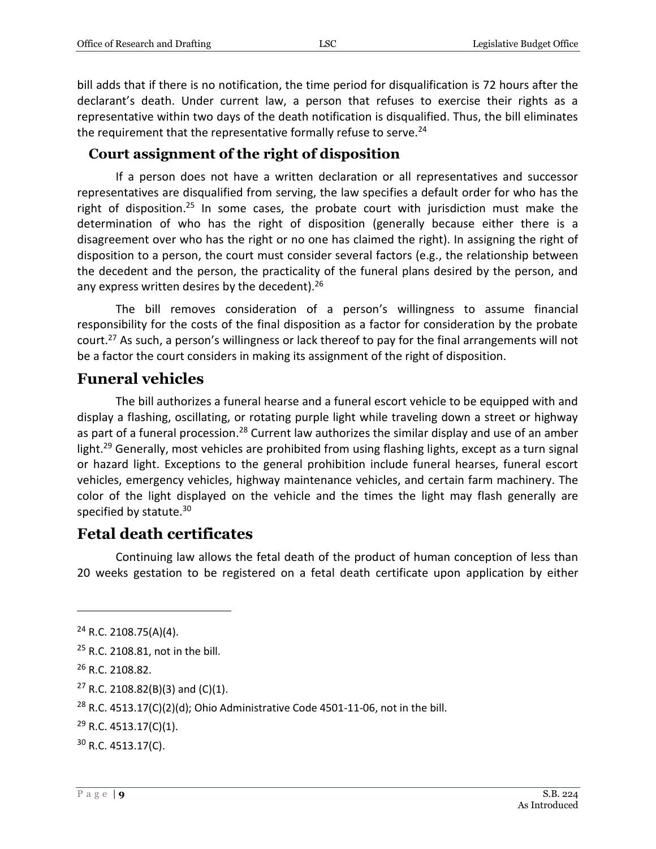bill adds that if there is no notification, the time period for disqualification is 72 hours after the declarant's death. Under current law, a person that refuses to exercise their rights as a representative within two days of the death notification is disqualified. Thus, the bill eliminates the requirement that the representative formally refuse to serve.<sup>24</sup>

#### **Court assignment of the right of disposition**

If a person does not have a written declaration or all representatives and successor representatives are disqualified from serving, the law specifies a default order for who has the right of disposition.<sup>25</sup> In some cases, the probate court with jurisdiction must make the determination of who has the right of disposition (generally because either there is a disagreement over who has the right or no one has claimed the right). In assigning the right of disposition to a person, the court must consider several factors (e.g., the relationship between the decedent and the person, the practicality of the funeral plans desired by the person, and any express written desires by the decedent).<sup>26</sup>

The bill removes consideration of a person's willingness to assume financial responsibility for the costs of the final disposition as a factor for consideration by the probate court.<sup>27</sup> As such, a person's willingness or lack thereof to pay for the final arrangements will not be a factor the court considers in making its assignment of the right of disposition.

#### **Funeral vehicles**

The bill authorizes a funeral hearse and a funeral escort vehicle to be equipped with and display a flashing, oscillating, or rotating purple light while traveling down a street or highway as part of a funeral procession.<sup>28</sup> Current law authorizes the similar display and use of an amber light.<sup>29</sup> Generally, most vehicles are prohibited from using flashing lights, except as a turn signal or hazard light. Exceptions to the general prohibition include funeral hearses, funeral escort vehicles, emergency vehicles, highway maintenance vehicles, and certain farm machinery. The color of the light displayed on the vehicle and the times the light may flash generally are specified by statute.<sup>30</sup>

#### **Fetal death certificates**

Continuing law allows the fetal death of the product of human conception of less than 20 weeks gestation to be registered on a fetal death certificate upon application by either

 $24$  R.C. 2108.75(A)(4).

<sup>25</sup> R.C. 2108.81, not in the bill.

<sup>26</sup> R.C. 2108.82.

<sup>&</sup>lt;sup>27</sup> R.C. 2108.82(B)(3) and (C)(1).

<sup>&</sup>lt;sup>28</sup> R.C. 4513.17(C)(2)(d); Ohio Administrative Code 4501-11-06, not in the bill.

 $29$  R.C. 4513.17(C)(1).

 $30$  R.C. 4513.17(C).